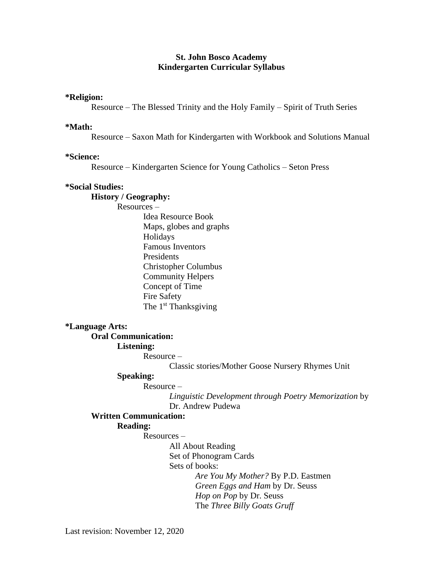# **St. John Bosco Academy Kindergarten Curricular Syllabus**

#### **\*Religion:**

Resource – The Blessed Trinity and the Holy Family – Spirit of Truth Series

#### **\*Math:**

Resource – Saxon Math for Kindergarten with Workbook and Solutions Manual

## **\*Science:**

Resource – Kindergarten Science for Young Catholics – Seton Press

## **\*Social Studies:**

#### **History / Geography:**

Resources –

Idea Resource Book Maps, globes and graphs Holidays Famous Inventors Presidents Christopher Columbus Community Helpers Concept of Time Fire Safety The 1<sup>st</sup> Thanksgiving

## **\*Language Arts:**

**Oral Communication:**

#### **Listening:**

Resource –

Classic stories/Mother Goose Nursery Rhymes Unit

#### **Speaking:**

# Resource –

*Linguistic Development through Poetry Memorization* by Dr. Andrew Pudewa

# **Written Communication:**

#### **Reading:**

Resources –

All About Reading

Set of Phonogram Cards

Sets of books:

*Are You My Mother?* By P.D. Eastmen *Green Eggs and Ham* by Dr. Seuss *Hop on Pop* by Dr. Seuss The *Three Billy Goats Gruff*